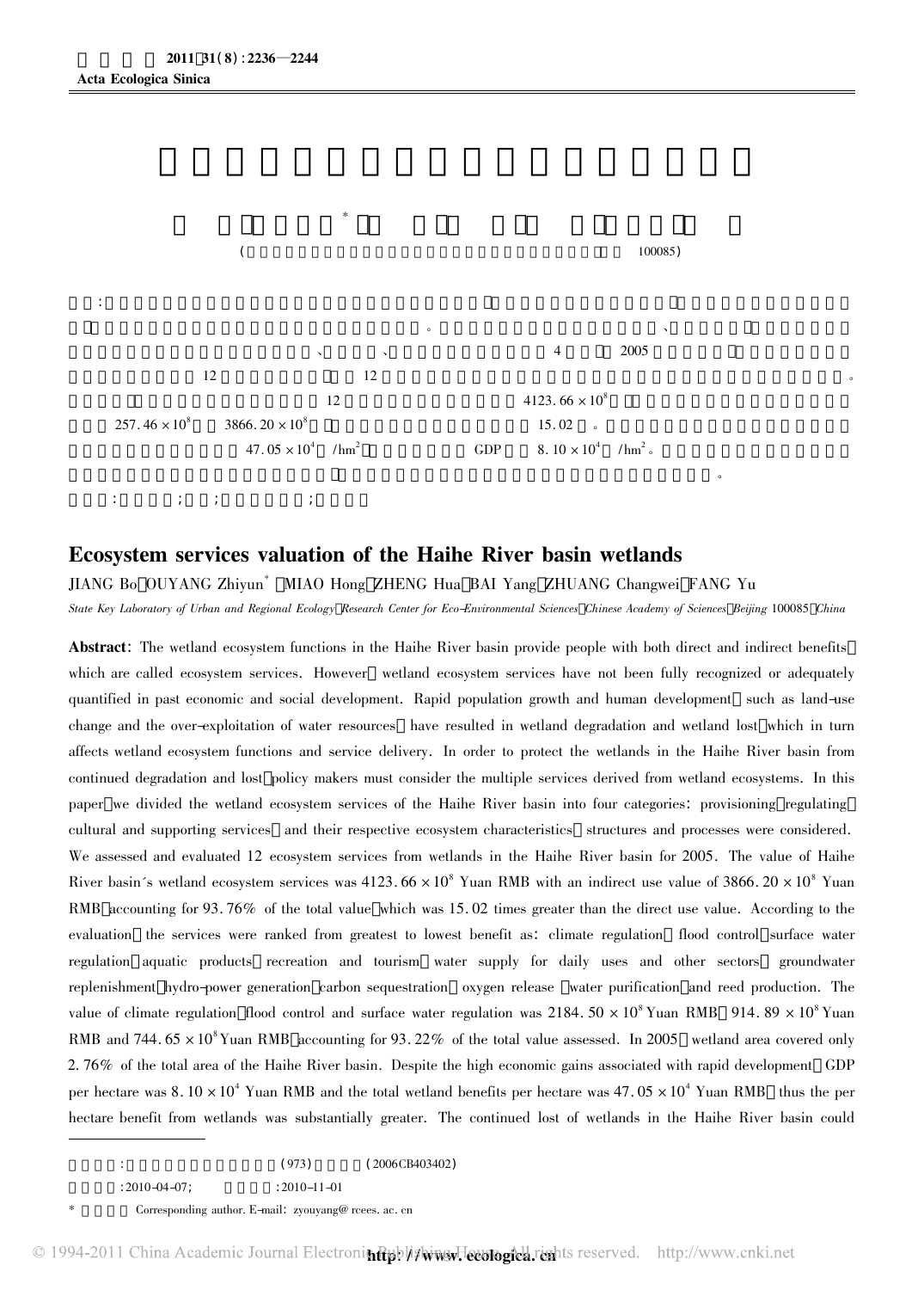

## **Ecosystem services valuation of the Haihe River basin wetlands**<br>JIANG Bo OUYANG Zhivun<sup>\*</sup> MIAO Hong ZHENG Hua BAI Yang ZHUANG Changwei FANG Yu

JIANG Bo OUYANG Zhiyun<sup>\*</sup> MIAO Hong ZHENG Hua BAI Yang ZHUANG Changwei FANG Yu<br>State Key Laboratory of Urban and Regional Ecology Research Center for Eco-Environmental Sciences Chinese Academy of Sciences Beijing 100085 Ch

State Key Laboratory of Urban and Regional Ecology Research Center for Eco-Environmental Sciences Chinese Academy of Sciences Beijing 100085 China<br>**Abstract**: The wetland ecosystem functions in the Haihe River basin provid which are called ecosystem services. However wetland ecosystem services have not been fully recognized or adequately<br>quantified in past economic and social development. Rapid population growth and human development such as quantified in past economic and social development. Rapid population growth and human development such as land-use<br>change and the over-exploitation of water resources have resulted in wetland degradation and wetland lost w change and the over–exploitation of water resources have resulted in wetland degradation and wetland lost which in turn<br>affects wetland ecosystem functions and service delivery. In order to protect the wetlands in the Haih affects wetland ecosystem functions and service delivery. In order to protect the wetlands in the Haihe River basin from<br>continued degradation and lost policy makers must consider the multiple services derived from wetland eontinued degradation and lost policy makers must consider the multiple services derived from wetland ecosystems. In th<br>paper we divided the wetland ecosystem services of the Haihe River basin into four categories: provisi paper we divided the wetland ecosystem services of the Haihe River basin into four categories: provisioning regulating<br>cultural and supporting services and their respective ecosystem characteristics structures and processe cultural and supporting services and their respective ecosystem characteristics structures and processes were considered.<br>We assessed and evaluated 12 ecosystem services from wetlands in the Haihe River basin for 2005. The We assessed and evaluated 12 ecosystem services from wetlands in the Haihe River basin for 2005. The value of Haihe<br>River basin's wetland ecosystem services was 4123. 66 × 10<sup>8</sup> Yuan RMB with an indirect use value of 3866 River basin´s wetland ecosystem services was  $4123.66 \times 10^8$  Yuan RMB with an indirect use value of 3866.20  $\times 10^8$  Yuan<br>RMB accounting for 93.76% of the total value which was 15.02 times greater than the direct use va RMB accounting for 93.76% of the total value which was 15.02 times greater than the direct use value. According to the evaluation the services were ranked from greatest to lowest benefit as: climate regulation flood contro evaluation the services were ranked from greatest to lowest benefit as: climate regulation flood control surface water<br>regulation aquatic products recreation and tourism water supply for daily uses and other sectors ground regulation aquatic products recreation and tourism water supply for daily uses and other sectors groundwater<br>replenishment hydro-power-generation carbon-sequestration oxygen-release water-purification and reed production. value Yuan ya kuwa kwa wakazi wa wakazi wa wakazi wa wakazi wa wakazi wa wakazi wa kutoka wakazi wa kutoka waka replenishment hydro-power generation carbon sequestration oxygen release water purification and reed production. The<br>value of climate regulation flood control and surface water regulation was  $2184. 50 \times 10^8$  Yuan RMB 91 RMB and 744.  $65 \times 10^8$  Yuan RMB accounting for 93. 22% of the total value assessed. In 2005 wetland area covered only<br>2. 76% of the total area of the Haihe River basin. Despite the high economic gains associated with ra 2. 76% of the total area of the Haihe River basin. Despite the high economic gains associated with rapid development GDP<br>per hectare was 8. 10 × 10<sup>4</sup> Yuan RMB and the total wetland benefits per hectare was 47. 05 × 10<sup>4</sup> per hectare was  $8.10 \times 10^4$  Yuan RMB and the total wetland benefits per hectare was  $47.05 \times 10^4$  Yuan RMB -thus the per<br>hectare benefit from wetlands was substantially greater. The continued lost of wetlands in the Ha

 $\begin{array}{c|c} \begin{array}{ccc} \hline \end{array} & \begin{array}{ccc} \hline \end{array} & \begin{array}{ccc} \end{array} & \begin{array}{ccc} \end{array} & \begin{array}{ccc} \end{array} & \begin{array}{ccc} \end{array} & \begin{array}{ccc} \end{array} & \begin{array}{ccc} \end{array} & \begin{array}{ccc} \end{array} & \begin{array}{ccc} \end{array} & \begin{array}{ccc} \end{array} & \begin{array}{ccc} \end{array} & \begin{array}{ccc} \end{array} & \begin{array}{ccc} \end{array} & \begin{array}{ccc} \end{array} & \begin{array}{ccc} \end{$  $(973)$ <br> $: 2010-04-07;$   $: 2010-11-01$ 

 $: 2010 - 04 - 07;$ <br>Corresponding author. E-mail: zyouyang@ rcees. ac. cn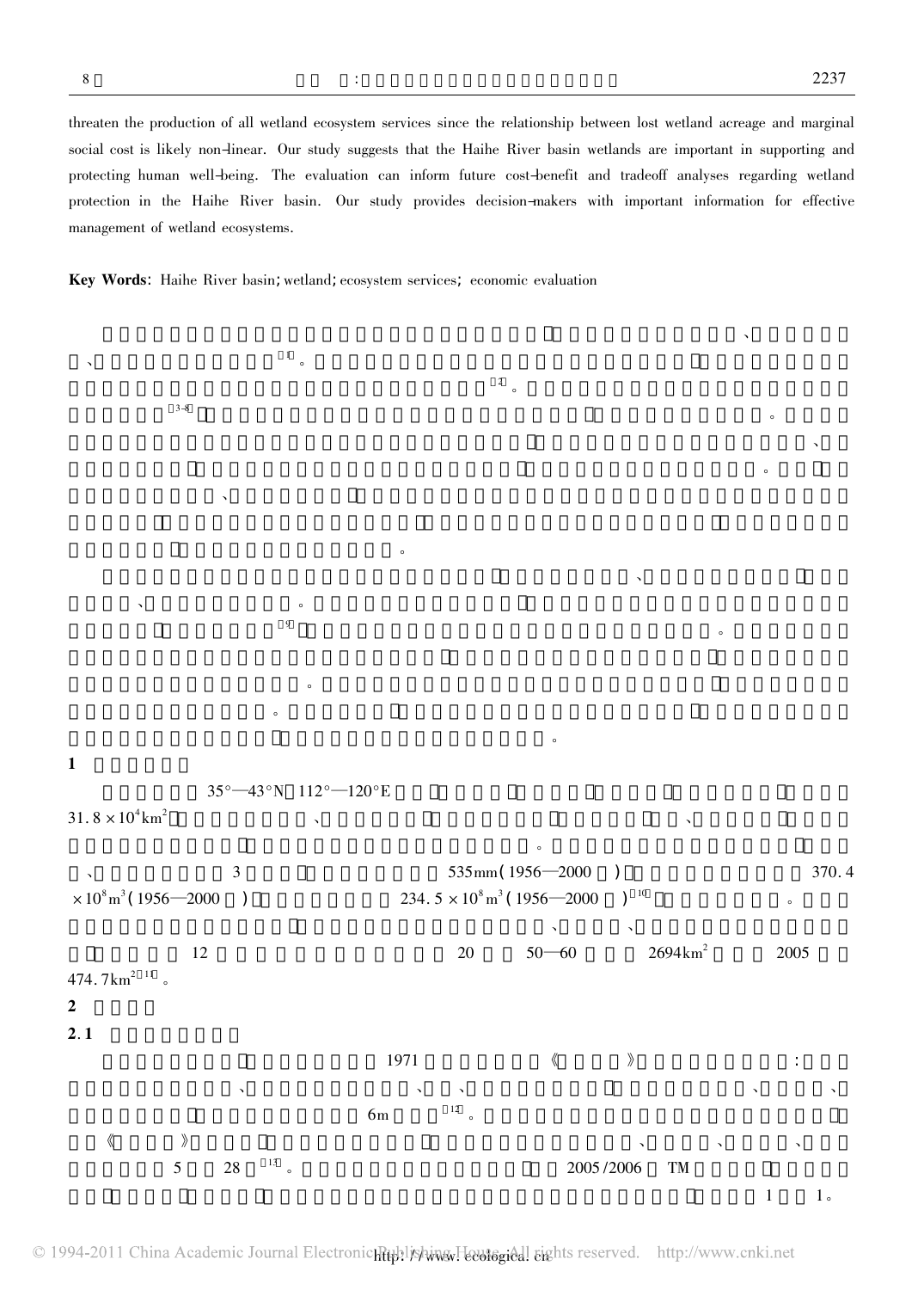2237<br>threaten the production of all wetland ecosystem services since the relationship between lost wetland acreage and marginal<br>social cost is likely non-linear. Our study suggests that the Haihe River basin wetlands are i social cost is likely non-linear. Our study suggests that the Haihe River basin wetlands are important in supporting and<br>protecting human well-being. The evaluation can inform future cost-benefit and tradeoff analyses rega protecting human well-being. The evaluation can inform future cost-benefit and tradeoff analyses regarding wetland protecting human well-being. The evaluation can inform future cost-benefit and tradeoff analyses regarding wetland<br>protection in the Haihe River basin. Our study provides decision-makers with important information for effe

 $\mathcal{R}$ 

Key Words: Haihe River basin; wetland; ecosystem services; economic evaluation

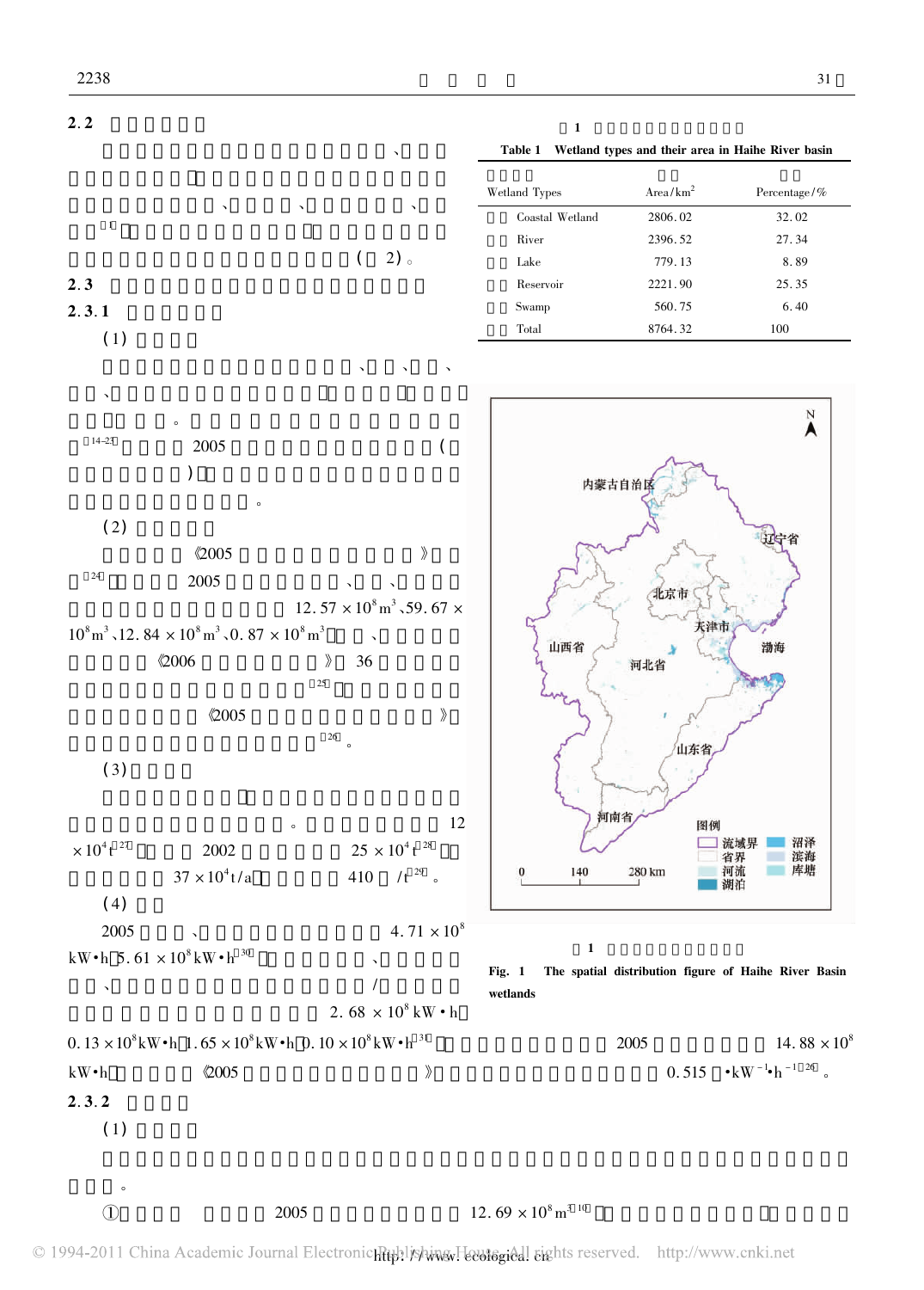

| 1               |                                                   |                 |
|-----------------|---------------------------------------------------|-----------------|
| Table 1         | Wetland types and their area in Haihe River basin |                 |
|                 |                                                   |                 |
| Wetland Types   | Area/km <sup>2</sup>                              | Percentage/ $%$ |
| Coastal Wetland | 2806.02                                           | 32.02           |
| River           | 2396.52                                           | 27.34           |
| Lake            | 779.13                                            | 8.89            |
| Reservoir       | 2221.90                                           | 25.35           |
| Swamp           | 560.75                                            | 6.40            |
| Total           | 8764.32                                           | 100             |



Fig. 1 The spatial distribution figure of Haihe River Basin wetlands

 $1$ 

14.88  $\times$ <br> $^{1}$  h  $^{-1}$  26



的利益。

<sup>10</sup> 考虑到随着温度升高 水的汽化热

**12.**  $69 \times 10^8$  **m<sup>3 10</sup><br>
C 1994-2011** China Academic Journal Electronic Rubblishing Feutogical sights reserved. http://www.cnki.net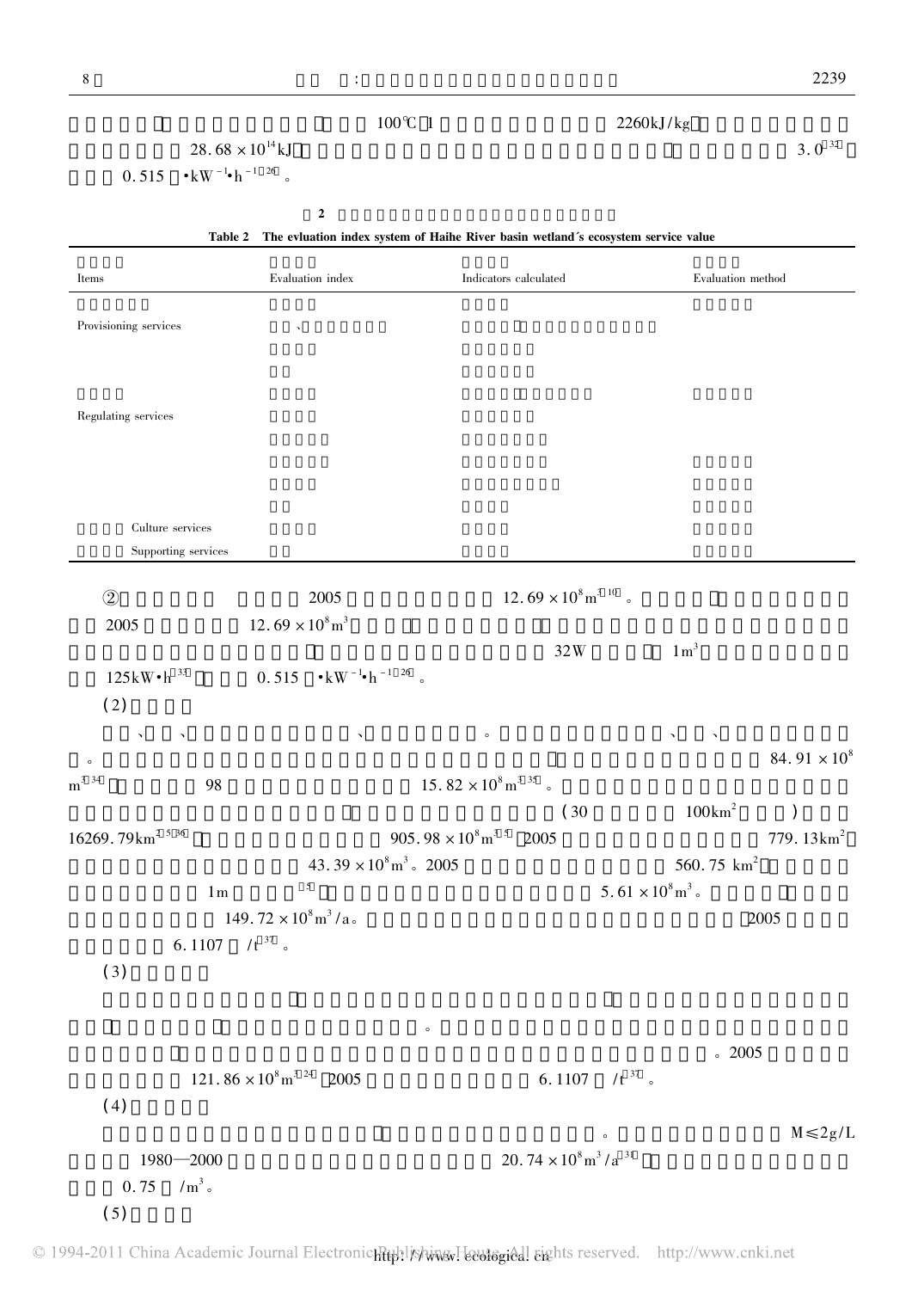| ŏ                      |                                                                                                |                                                                                   |                                                   | 2239                |
|------------------------|------------------------------------------------------------------------------------------------|-----------------------------------------------------------------------------------|---------------------------------------------------|---------------------|
|                        |                                                                                                | $100^{\circ}$ C 1                                                                 | 2260kJ/kg                                         |                     |
|                        | $28.68 \times 10^{14}$ kJ                                                                      |                                                                                   |                                                   | $3.0 \frac{32}{ }$  |
| 0.515                  | $\bullet{\rm\thinspace kW}$ $^{-1}\bullet{\rm\thinspace h}$ $^{-1}$ $^{-26}$ $^{-}$ $_{\circ}$ |                                                                                   |                                                   |                     |
|                        |                                                                                                |                                                                                   |                                                   |                     |
|                        | $\boldsymbol{2}$                                                                               |                                                                                   |                                                   |                     |
|                        | Table 2                                                                                        | The evluation index system of Haihe River basin wetland's ecosystem service value |                                                   |                     |
| Items                  | Evaluation index                                                                               | Indicators calculated                                                             |                                                   | Evaluation method   |
|                        |                                                                                                |                                                                                   |                                                   |                     |
| Provisioning services  |                                                                                                |                                                                                   |                                                   |                     |
|                        |                                                                                                |                                                                                   |                                                   |                     |
|                        |                                                                                                |                                                                                   |                                                   |                     |
| Regulating services    |                                                                                                |                                                                                   |                                                   |                     |
|                        |                                                                                                |                                                                                   |                                                   |                     |
|                        |                                                                                                |                                                                                   |                                                   |                     |
|                        |                                                                                                |                                                                                   |                                                   |                     |
|                        |                                                                                                |                                                                                   |                                                   |                     |
| Culture services       |                                                                                                |                                                                                   |                                                   |                     |
| Supporting services    |                                                                                                |                                                                                   |                                                   |                     |
| $\circled{2}$          | 2005                                                                                           |                                                                                   | $12.69\times10^8\mathrm{m}^{3}$ $^{10}$ $\,$ $\,$ |                     |
| 2005                   | $12.69 \times 10^8 \text{m}^3$                                                                 |                                                                                   |                                                   |                     |
|                        |                                                                                                |                                                                                   | $1 \text{ m}^3$<br>32W                            |                     |
| $125kW\cdot h^{33}$    | $0.515 \cdot kW^{-1} h^{-1}$ <sup>26</sup> °                                                   |                                                                                   |                                                   |                     |
| (2)                    |                                                                                                |                                                                                   |                                                   |                     |
|                        |                                                                                                |                                                                                   |                                                   |                     |
| $\checkmark$           | $\checkmark$                                                                                   | $\circ$                                                                           |                                                   | 84.91 $\times 10^8$ |
| $\circ$<br>$m^{3}$ 34  |                                                                                                | $15.\,82\times10^8\mathrm{m}^{3}$ $^{35}$ $\,$ $\,$ $\,$                          |                                                   |                     |
|                        | 98                                                                                             |                                                                                   |                                                   |                     |
|                        |                                                                                                |                                                                                   | (30)<br>$100 \text{km}^2$                         | $\mathcal{E}$       |
| 16269.79 $km^{2.5.36}$ |                                                                                                | $905.98 \times 10^8 \text{ m}^3$ <sup>5</sup> 2005                                |                                                   | 779.13 $km^2$       |
|                        | $43.39 \times 10^8 \text{ m}^3$ . 2005<br>5                                                    |                                                                                   | 560.75 ${\rm km}^2$                               |                     |
|                        | $1\,\mathrm{m}$                                                                                |                                                                                   | $5.61 \times 10^8 \text{m}^3$ .                   |                     |
|                        | $149.72 \times 10^8 \text{m}^3/\text{a}$ .                                                     |                                                                                   |                                                   | 2005                |
|                        | 6.1107 $/t^{37}$ .                                                                             |                                                                                   |                                                   |                     |
| (3)                    |                                                                                                |                                                                                   |                                                   |                     |
|                        |                                                                                                |                                                                                   |                                                   |                     |
|                        |                                                                                                | $\circ$                                                                           |                                                   |                     |
|                        |                                                                                                |                                                                                   |                                                   | .2005               |
|                        | $121.86 \times 10^8 \,\mathrm{m}^{3}$ <sup>24</sup> 2005                                       |                                                                                   | 6.1107 $/t^{37}$ .                                |                     |
| (4)                    |                                                                                                |                                                                                   |                                                   |                     |
|                        |                                                                                                |                                                                                   | $\circ$                                           | $M \leq 2g/L$       |
| $1980 - 2000$          |                                                                                                |                                                                                   | $20.74 \times 10^8 \text{m}^3/\text{a}^{-31}$     |                     |
| $/m3$ .<br>0.75        |                                                                                                |                                                                                   |                                                   |                     |
| (5)                    |                                                                                                |                                                                                   |                                                   |                     |
|                        |                                                                                                |                                                                                   |                                                   |                     |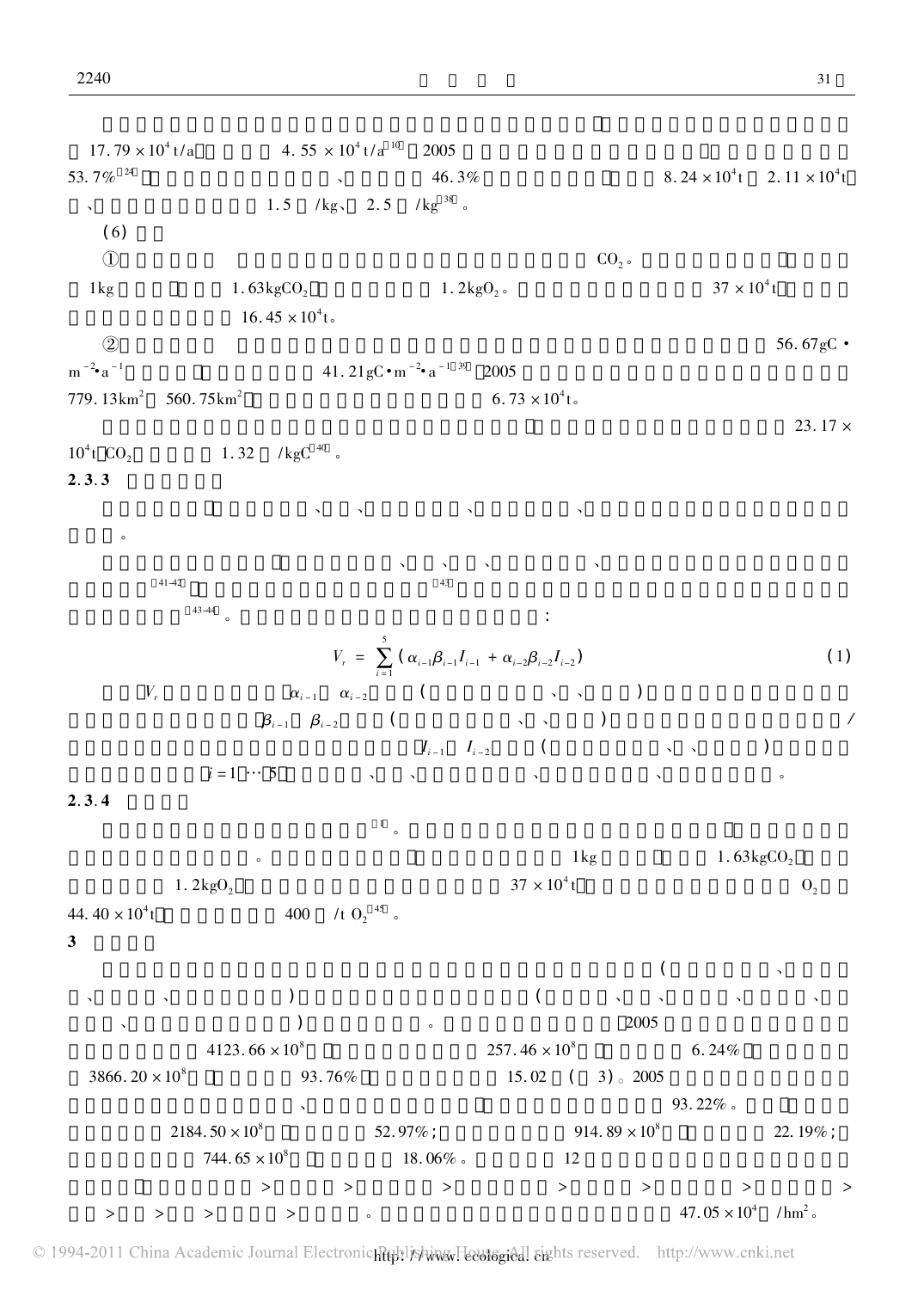$2.79 \times 10^4$  t/a  $4.55 \times 10^4$  t/a  $^{10}$  2005  $17.79 \times 10^4$  t/a<br> $7\%$  <sup>24</sup>  $4.55 \times 10^4$  t/a<sup>10</sup> 2005<br>46. 3% 8. 24 × 10<sup>4</sup>  $8.24 \times 10^{4}$ t  $2.11 \times 10^{4}$ t  $53.7\%$   $\frac{46.3\%}{\text{Ng}}$   $\frac{46.3\%}{\text{Ng}}$   $\frac{46.3\%}{\text{Ng}}$  $(6)$ (6)<br>  $\textcircled{1}$  CO<sub>2</sub>。  $\mathbb{Q}$  $\rm LO_{2}$   $\rm CO_{2}$   $\rm CO_{2}$   $\rm CO_{2}$   $\rm CO_{2}$   $\rm CO_{2}$   $\rm CO_{2}$   $\rm CO_{2}$   $\rm CO_{2}$  $\mathfrak{t}$  $1\,\text{kg}$  1.  $63\,\text{kgCO}_2$ 16.45  $\times 10^4$  t.  $16.45 \times 10^4$ to 2000 has a 56. 67gC·  $(2)$ <br>m<sup>-2</sup>•a<sup>-1</sup>  $41.21 \text{gC} \cdot \text{m}^{-2} \cdot \text{a}$  $a^{-1}$  <sup>39</sup> 2005  $a^{-1}$  39 2005  $\frac{1}{2}$  a<sup>-1</sup><br>
13km<sup>2</sup> 560. 75km<sup>2</sup> <br>
560. 75km<sup>2</sup> <br>
6. 73 × 10<sup>4</sup> 6.73  $\times 10^4$  t.  $13 \text{km}^2$  560. 75 km<sup>2</sup> 6. 73 × 10<sup>4</sup> t. 1. 32 /kgC  $^{40}$  。  $10^4$ t CO<sub>2</sub> 1<br>**2. 3. 3** 由于资料限制 本文仅对北京、天津、河北海河流域、山西海河流域、山东海河流域的湿地娱乐休闲价值进  $\overline{a}$ 在计算娱乐休闲价值时 分别考虑了北京、天津、河北、山西海河流域、山东海河流域的国内旅游收入和外  $41-42$   $43$  $\begin{array}{c}\n 43-44 \\
 \hline\n 43-44\n \end{array}$  $V_r = \sum_{i=1}^{5} (\alpha_{i-1} \beta_{i-1} I_{i-1} + \alpha_{i-2} \beta_{i-2} I_{i-2})$  (1)  $V_r$   $\alpha_{i-1}$   $\alpha_{i-2}$  ( $\qquad \qquad \ldots$ )  $\beta_{i-1}$   $\beta_{i-2}$  (  $\rightarrow \rightarrow \rightarrow$  )  $I_{i-1}$   $I_{i-2}$  (  $\longrightarrow$   $\longrightarrow$  ) 入和旅游外汇收入 <sup>i</sup> =1 … <sup>5</sup> 分别指北京、天津、河北省海河流域、山西省海河流域、山东省海河流域。  $2.3.4$  $\frac{1}{\sqrt{2}}$  $\footnotesize\begin{array}{ccc} & 1\\ \circ & & \\ \circ & & \\ \end{array}$   $\footnotesize\begin{array}{ccc} & 1.63\text{kgCO}_2 \end{array}$  $1. \ 2 \ \text{kgO}_2 \ \ \begin{array}{ccc} \circ & & \\ \circ & & \\ \end{array} \ \ \begin{array}{c} \circ \\ \hspace{2.5cm} 37 \times 10^4 \end{array}$  $1\,\mathrm{kg}$  $1 \text{ kg} \qquad \qquad 1.63 \text{kgCO}_2 \\ 37 \times 10^4 \text{ t} \qquad \qquad 0,$ 44.40  $\times 10^4$ t 1.  $2\text{kgO}_2$ <br>t 400 /t O<sub>2</sub> <sup>45</sup> a  $3 \thinspace$  $\langle \cdot, \cdot \rangle$ 、芦苇产品、水电和娱乐休闲) 和具有间接使用价值的生态服务( 包括固碳、释氧、气候调节、调蓄洪水、地表 水调蓄、地下水补给和水质净化) 价值进行了评价。根据本研究的评价结果 <sup>2005</sup> 年海河流域湿地生态系统  $(4123. 66 \times 10^8)$   $(257. 46 \times 10^8)$   $(6. 24\%)$  $20 \times 10^8$   $257.46 \times 10^8$   $6.24\%$ <br> $257.46 \times 10^8$   $6.24\%$  $3866.20 \times 10^8$   $93.76\%$   $15.02$   $(3)$   $2005$   $93.22\%$  $2184. 50 \times 10^8$  52. 97% ; 93. 22% s  $2184. 50 \times 10^8$ <br>  $744. 65 \times 10^8$ <br>  $744. 65 \times 10^8$ <br>  $18. 06\%$   $12$ <br>  $12$ 大小排序 依次为气候调节 <sup>&</sup>gt; 调蓄洪水 <sup>&</sup>gt; 地表水调蓄 <sup>&</sup>gt; 提供淡水产品 <sup>&</sup>gt; 娱乐休闲 <sup>&</sup>gt; 水资源供给 <sup>&</sup>gt; 地下水补给 <sup>&</sup>gt; 水电 <sup>&</sup>gt; 固碳 <sup>&</sup>gt; 释氧 <sup>&</sup>gt; 水质净化 <sup>&</sup>gt; 芦苇产品。海河流域湿地的单位面积服务功能价值为 47. <sup>05</sup> ×104 /hm2  $47.05 \times 10^4$  /hm<sup>2</sup>.

© 1994-2011 China Academic Journal Electronichtup!iyAwww.Feebiogical sights reserved. http://www.cnki.net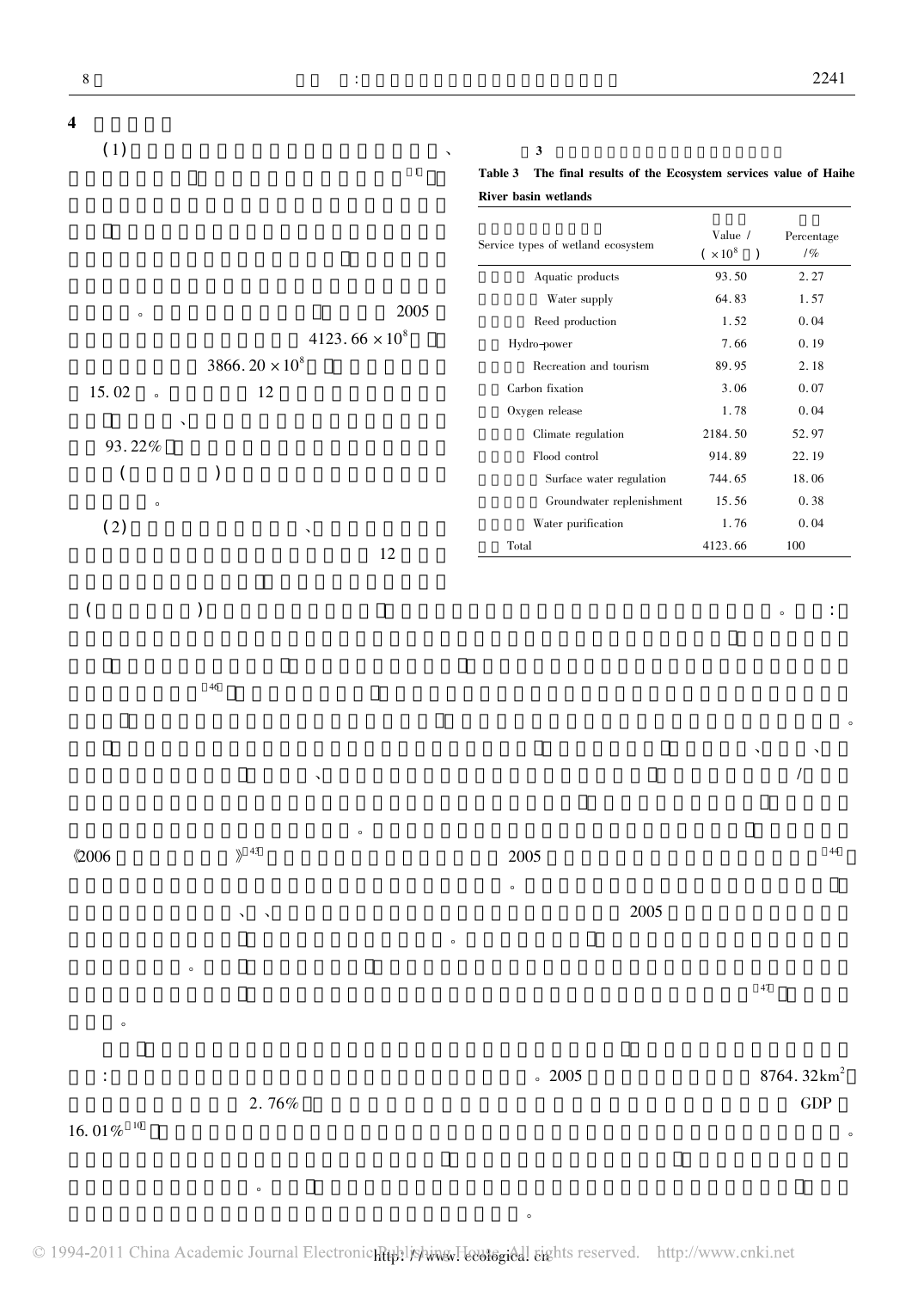| $\overline{4}$<br>(1)                                | $\checkmark$<br>$\mathbf{1}$            | $\mathbf{3}$<br>The final results of the Ecosystem services value of Haihe<br>Table 3<br>River basin wetlands |                              |                                      |
|------------------------------------------------------|-----------------------------------------|---------------------------------------------------------------------------------------------------------------|------------------------------|--------------------------------------|
|                                                      |                                         | Service types of wetland ecosystem                                                                            | Value $\sqrt{}$<br>$(x10^8)$ | Percentage<br>$/ \, \%$              |
|                                                      |                                         | Aquatic products                                                                                              | 93.50                        | 2.27                                 |
|                                                      |                                         | Water supply                                                                                                  | 64.83                        | 1.57                                 |
| $\circ$                                              | 2005                                    | Reed production                                                                                               | 1.52                         | 0.04                                 |
|                                                      | $4123.\,\allowbreak 66\times 10^8$      | Hydro-power                                                                                                   | 7.66                         | 0.19                                 |
|                                                      | 3866.20 $\times 10^8$                   | Recreation and tourism                                                                                        | 89.95                        | 2.18                                 |
| 15.02<br>$\circ$                                     | 12                                      | Carbon fixation                                                                                               | 3.06                         | 0.07                                 |
|                                                      | $\checkmark$                            | $\rm Oxygen$ $\rm release$                                                                                    | 1.78                         | 0.04                                 |
| 93.22%                                               |                                         | Climate regulation                                                                                            | 2184.50<br>914.89            | 52.97<br>22.19                       |
| (                                                    | $\mathcal{C}^{\prime}$                  | Surface water regulation                                                                                      | 744.65                       | 18.06                                |
|                                                      |                                         | Groundwater replenishment                                                                                     | 15.56                        | 0.38                                 |
| $\circ$                                              |                                         | $\ensuremath{\text{Water}}$ purification                                                                      | 1.76                         | 0.04                                 |
| (2)                                                  | $\checkmark$<br>12                      | Total                                                                                                         | 4123.66                      | 100                                  |
|                                                      | 46<br>$\checkmark$                      |                                                                                                               | $\checkmark$                 | $\circ$                              |
| $\&006$                                              | $\circ$<br>$\left\}\right.43$           | 2005<br>$\circ$                                                                                               |                              | 44                                   |
|                                                      | $\checkmark$<br>$\checkmark$<br>$\circ$ | 2005                                                                                                          |                              |                                      |
| $\circ$                                              | $\circ$                                 |                                                                                                               | $47\,$                       |                                      |
| $\ddot{\cdot}$<br>$16.\,\allowbreak 01\,\%$ $^{-10}$ | $2.\,76\%$                              | $\degree$ 2005                                                                                                |                              | $8764.32 \text{km}^2$<br>${\rm GDP}$ |
|                                                      |                                         |                                                                                                               |                              | $\circ$                              |

 $\ddot{\rm d}$ 

 $\overline{C}$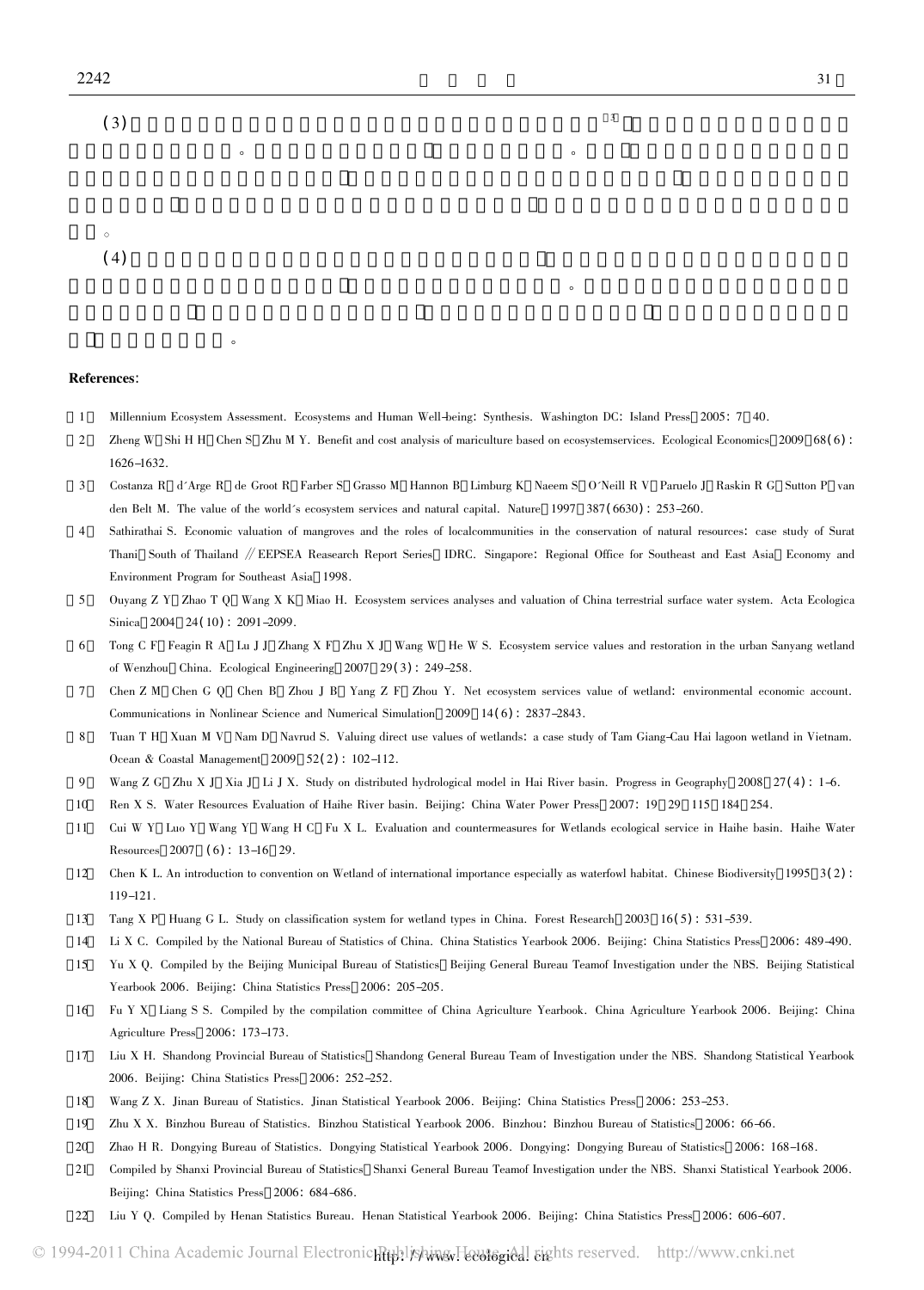

## References:

 $\alpha$ 

- Millennium Ecosystem Assessment. Ecosystems and Human Well-being: Synthesis. Washington DC: Island Press <sup>2005</sup>: <sup>7</sup> 40. 2
- Millennium Ecosystem Assessment. Ecosystems and Human Well-being: Synthesis. Washington DC: Island Press 2005: 7 40.<br>2 Zheng W Shi H H Chen S Zhu M Y. Benefit and cost analysis of mariculture based on ecosystemservices. Ec  $1626 - 1632.$ Costanza <sup>R</sup> d'Arge <sup>R</sup> de Groot <sup>R</sup> Farber <sup>S</sup> Grasso <sup>M</sup> Hannon <sup>B</sup> Limburg <sup>K</sup> Naeem <sup>S</sup> O'Neill <sup>R</sup> <sup>V</sup> Paruelo <sup>J</sup> Raskin <sup>R</sup> <sup>G</sup> Sutton <sup>P</sup> van den
- den Belt M. The value of the world's ecosystem services and natural capital. Nature 1997 387(6630): 253-260.
- den Belt M. The value of the world´s ecosystem services and natural capital. Nature 1997 387(6630): 253–260.<br>Sathirathai S. Economic valuation of mangroves and the roles of localcommunities in the conservation of natural r Thani South of Thailand // EEPSEA Reasearc<br>Environment Program for Southeast Asia 1998.
- Ouyang <sup>Z</sup> <sup>Y</sup> Zhao <sup>T</sup> <sup>Q</sup> Wang <sup>X</sup> <sup>K</sup> Miao H. Ecosystem services analyses and valuation of China terrestrial surface water system. Acta Ecologica Sinica <sup>2004</sup> <sup>24</sup>( <sup>10</sup>) : 2091-2099.
- Sinica 2004 24(10): 2091–2099.<br>
Tong C F Feagin R A Lu J J Zhang X F Zhu X J Wang W He W S. Ecosystem service values and restoration in the urban Sanyang wetland<br>
of Wenzhou China. Ecological Engineering 2007 29(3): 249–25
- Chen <sup>Z</sup> <sup>M</sup> Chen <sup>G</sup> <sup>Q</sup> Chen <sup>B</sup> Zhou <sup>J</sup> <sup>B</sup> Yang <sup>Z</sup> <sup>F</sup> Zhou Y. Net ecosystem services value of wetland: environmental economic account. Communications in Nonlinear Science and Numerical Simulation <sup>2009</sup> <sup>14</sup>( <sup>6</sup>) : 2837-2843.
- Communications in Nonlinear Science and Numerical Simulation 2009 14(6): 2837–2843.<br>Tuan T H Xuan M V Nam D Navrud S. Valuing direct use values of wetlands: a case study of Tam Giang-Cau Hai lagoon wetland in Vietnam.<br>Ocea Ocean & Coastal Management 2009 52(2): 102–112.<br>Wang Z G Zhu X J Xia J Li J X. Study on distributed hydrological model in Hai River basin. Progress in Geography 2008 27(4): 1–6.
- 10
- Ren <sup>X</sup> S. Water Resources Evaluation of Haihe River basin. Beijing: China Water Power Press <sup>2007</sup>: <sup>19</sup> <sup>29</sup> <sup>115</sup> <sup>184</sup> 254. 10
- Cui <sup>W</sup> <sup>Y</sup> Luo <sup>Y</sup> Wang <sup>Y</sup> Wang <sup>H</sup> <sup>C</sup> Fu <sup>X</sup> L. Evaluation and countermeasures for Wetlands ecological service in Haihe basin. Haihe Water Resources <sup>2007</sup>,( <sup>6</sup>) : 13-16 29. Resources 2007 (6): 13–16 29.<br>2 Chen K L. An introduction to convention on Wetland of international importance especially as waterfowl habitat. Chinese Biodiversity 1995 3(2):
- $119 121$ .
- Tang <sup>X</sup> <sup>P</sup> Huang <sup>G</sup> L. Study on classification system for wetland types in China. Forest Research <sup>2003</sup> <sup>16</sup>( <sup>5</sup>) : 531-539. 13
- Tang X P Huang G L. Study on classification system for wetland types in China. Forest Research 2003 16(5): 531–539.<br>4 Li X C. Compiled by the National Bureau of Statistics of China. China Statistics Yearbook 2006. Beijing: 14 4 Li X C. Compiled by the National Bureau of Statistics of China. China Statistics Yearbook 2006. Beijing: China Statistics Press 2006: 489-490.<br>5 Yu X O. Compiled by the Beijing Municipal Bureau of Statistics Beijing Gene
- Yu X Q. Compiled by the Beijing Municipal Bureau of Statistics<br>Yearbook 2006. Beijing: China Statistics Press 2006: 205-205.
- Fu <sup>Y</sup> <sup>X</sup> Liang <sup>S</sup> S. Compiled by the compilation committee of China Agriculture Yearbook. China Agriculture Yearbook 2006. Beijing: China Agriculture Press <sup>2006</sup>: 173-173.
- Liu <sup>X</sup> H. Shandong Provincial Bureau of Statistics Shandong General Bureau Team of Investigation under the NBS. Shandong Statistical Yearbook 2006. Beijing: China Statistics Press <sup>2006</sup>: 252-252. 2006. Beijing: China Statistics Press 2006: 252–252.<br>Wang Z X. Jinan Bureau of Statistics. Jinan Statistical Yearbook 2006. Beijing: China Statistics Press 2006: 253–253.
- 19
- 2006: 8 Wang Z X. Jinan Bureau of Statistics. Jinan Statistical Yearbook 2006. Beijing: China Statistics Press 2006: 253–253.<br>2016 Zhu X X. Binzhou Bureau of Statistics. Binzhou Statistical Yearbook 2006. Binzhou: Binzho 20
- 2006: 46-66. Zhu X X. Binzhou Bureau of Statistics. Binzhou Statistical Yearbook 2006. Binzhou: Binzhou Bureau of Statistics 2006: 66-66. Zhao H R. Dongying Bureau of Statistics 2006: 168–168. 20 Compiled by Shanxi Provincial Bureau of Statistics Shanxi General Bureau Teamof Investigation under the NBS. Shanxi Statistical Yearbook 2006.
- http://edi.com/millip.com/millip.com/millip.com/millip.com/millip.com/millip.com/millip.com/millip.com/millip.com/millip.com/millip.com/millip.com/millip.com/millip.com/millip.com/millip.com/millip.com/millip.com/millip.co Compiled by Shanxi Provincial Bureau of Statistics Shanxi General Bureau Teamof Investigation under the NBS. Shanxi Statistical Yearbook 2006. Beijing: China Statistics Press 2006: 684-686.
-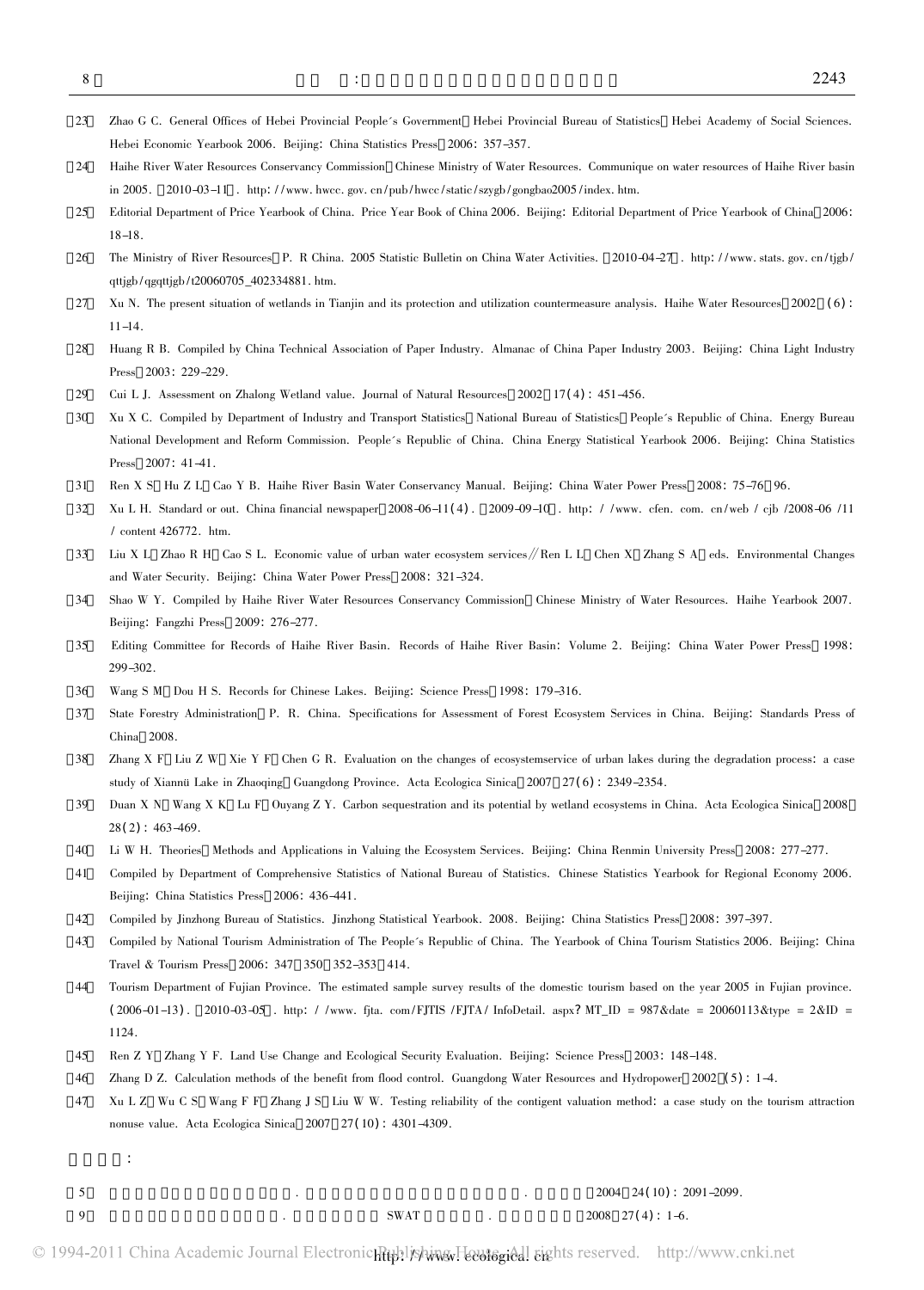- Zhao <sup>G</sup> C. General Offices of Hebei Provincial People's Government Hebei Provincial Bureau of Statistics Hebei Academy of Social Sciences. HebeiEconomic Yearbook 2006. Beijing: China Statistics Press <sup>2006</sup>: 357-357.
- Hebei Economic Yearbook 2006. Beijing: China Statistics Press 2006: 357–357.<br>Haihe River Water Resources Conservancy Commission Chinese Ministry of Water Resources. Communique on water resources of Haihe River basin<br>in 200 in 2005. 2010–03–11 . http://www.hwcc.gov.cn/pub/hwcc/static/szygb/gongbao2005/index.htm.<br>5 Editorial Department of Price Yearbook of China. Price Year Book of China 2006. Beijing: Editorial Department of Price Yearbook of
- 18–18.<br>6 The Ministry of River Resources P. R China. 2005 Statistic Bulletin on China Water Activities. 2010-04–27 . http://www.stats.gov.cn/tjgb/
- qttjgb/qgqttjgb/t20060705\_402334881. htm. qttjgb/qgqttjgb/t20060705\_402334881.htm.<br>7 Xu N. The present situation of wetlands in Tianjin and its protection and utilization countermeasure analysis. Haihe Water Resources 2002 (6):
- $11 14$ .
- Huang <sup>R</sup> B. Compiled by China Technical Association of Paper Industry. Almanac of China Paper Industry 2003. Beijing: China Light Industry Press <sup>2003</sup>: 229-229. Press 2003: 229–229.<br>Cui L J. Assessment on Zhalong Wetland value. Journal of Natural Resources 2002 17(4): 451–456.
- 29
- e Cui L J. Assessment on Zhalong Wetland value. Journal of Natural Resources 2002 17(4): 451-456.<br>O Xu X C. Compiled by Department of Industry and Transport Statistics National Bureau of Statistics People´s Republic of Xu X C. Compiled by Department of Industry and Transport Statistics National Bureau of Statistics People's Republic of China. Energy Bureau<br>National Development and Reform Commission. People's Republic of China. China Ener Press 2007: 41-41.<br>Ren X S Hu Z L Cao Y B. Haihe River Basin Water Conservancy Manual. Beijing: China Water Power Press 2008: 75-76 96.
- 31
- Ren X S Hu Z L Cao Y B. Haihe River Basin Water Conservancy Manual. Beijing: China Water Power Press 2008: 75–76 96.<br>2 Xu L H. Standard or out. China financial newspaper 2008-06-11(4). 2009-09-10 . http: //www. cfen. com. Liu <sup>X</sup> <sup>L</sup> Zhao <sup>R</sup> <sup>H</sup> Cao <sup>S</sup> L. Economic value of urban water ecosystem services∥Ren <sup>L</sup> <sup>L</sup> Chen <sup>X</sup> Zhang <sup>S</sup> <sup>A</sup> eds. Environmental Changes and
- Water Security. Beijing: China Water Power Press <sup>2008</sup>: 321-324.
- Shao <sup>W</sup> Y. Compiled by Haihe River Water Resources Conservancy Commission Chinese Ministry of Water Resources. Haihe Yearbook 2007. Beijing: Fangzhi Press <sup>2009</sup>: 276-277. Beijing: Fangzhi Press 2009: 276–277.<br>5 Editing Committee for Records of Haihe River Basin. Records of Haihe River Basin: Volume 2. Beijing: China Water Power Press 1998:
- Wang <sup>S</sup> <sup>M</sup> Dou <sup>H</sup> S. Records for Chinese Lakes. Beijing: Science Press <sup>1998</sup>: 179-316.
- $36$
- State Forestry Administration P. R. China. Specifications for Assessment of Forest Ecosystem Services in China. Beijing: Standards Press of China 2008. China 2008.<br>8 Zhang X F Liu Z W Xie Y F Chen G R. Evaluation on the changes of ecosystemservice of urban lakes during the degradation process: a case
- study of Xiannü Lake in Zhaoqing Guangdong Province. Acta Ecologica Sinica 2007 27(6): 2349-2354.
- study of Xiannü Lake in Zhaoqing Guangdong Province. Acta Ecologica Sinica 2007 27(6): 2349–2354.<br>Duan X N Wang X K Lu F Ouyang Z Y. Carbon sequestration and its potential by wetland ecosystems in China. Acta Ecologica Sin 28(2): 463-469.<br>
University Press Methods and Applications in Valuing the Ecosystem Services. Beijing: China Renmin University Press 2008: 277-277.
- 40 Compiled by Department of Comprehensive Statistics of National Bureau of Statistics. Chinese Statistics Yearbook for Regional Economy 2006.<br>Compiled by Department of Comprehensive Statistics of National Bureau of Statistic
- Compiled by Department of Comprehensive Statistics of National Bureau of Statistics. Chinese Statistics Yearbook for Regional Economy 2006. Beijing: China Statistics Press 2006: 436-441.
- Compiled by Jinzhong Bureau of Statistics. Jinzhong Statistical Yearbook. 2008. Beijing: China Statistics Press <sup>2008</sup>: 397-397. 43
- Compiled by National Tourism Administration of The People's Republic of China. The Yearbook of China Tourism Statistics 2006. Beijing: China Travel & Tourism Press <sup>2006</sup>: <sup>347</sup> <sup>350</sup> 352-353 414. Travel & Tourism Press 2006: 347 350 352-353 414.<br>44 Tourism Department of Fujian Province. The estimated sample survey results of the domestic tourism based on the year 2005 in Fujian province.
- Tourism Department of Fujian Province. The estimated sample survey results of the domestic tourism based on the year 2005 in Fujian province.<br>(2006–01–13). 2010–03–05 . http: //www. fjta. com/FJTIS /FJTA/ InfoDetail. aspx? Ren <sup>Z</sup> <sup>Y</sup> Zhang <sup>Y</sup> F. Land Use Change and Ecological Security Evaluation. Beijing: Science Press <sup>2003</sup>: 148-148.
- 46
- Zhang D Z. Calculation methods of the benefit from flood control. Guangdong Water Resources and Hydropower 2002 (5): 1-4. 46 Xu L Z Wu C S Wang F F Zhang J S Liu W W. Testing reliability of the contigent valuation method: a case study on the tourism attraction<br>T Xu L Z Wu C S Wang F F Zhang J S Liu W W. Testing reliability of the contigent valua
- nonuse value. Acta Ecologica Sinica 2007 27(10): 4301-4309.
- 参考文献:
	- $3004$  24(10) : 2091-2099.
- 5

 $\text{SWAT}$  2004 24(10): 2<br>
9

SWAT